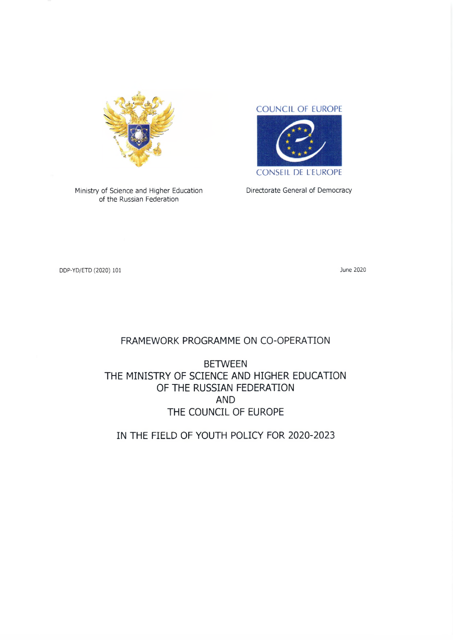

Ministry of Science and Higher Education Directorate General of Democracy of the Russian Federation



CONSEIL DE LEUROPE

DDP-YD/ETD (2020) 101 June 2020

## FRAMEWORK PROGRAMME ON CO-OPERATION

# **BETWEEN** THE MINISTRY OF SCIENCE AND HIGHER EDUCATION OF THE RUSSIAN FEDERATION AND THE COUNCIL OF EUROPE

IN THE FIELD OF YOUTH POLICY FOR 2020-2023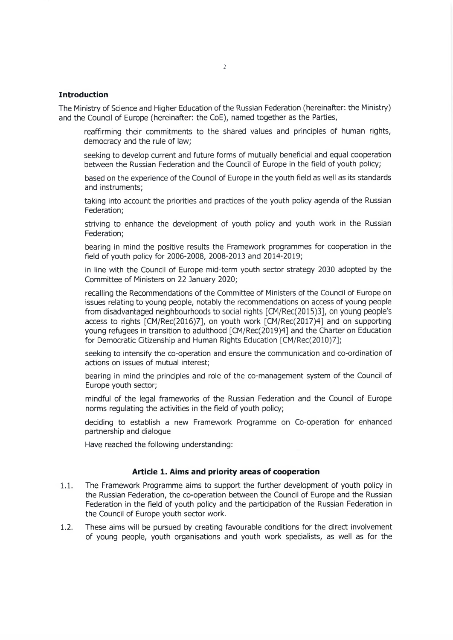#### **Introduction**

The Ministry of Science and Higher Education of the Russian Federation (hereinafter: the Ministry) and the Council of Europe (hereinafter: the CoE), named together as the Parties,

- reaffirming their commitments to the shared values and principles of human rights, democracy and the rule of law;
- seeking to develop current and future forms of mutually beneficial and equal Cooperation between the Russian Federation and the Council of Europe in the field of youth policy;
- based on the experience of the Council of Europe in the youth field as well as its standards and instruments;
- taking into account the priorities and practices of the youth policy agenda of the Russian Federation;
- striving to enhance the development of youth policy and youth work in the Russian Federation;
- bearing in mind the positive results the Framework programmes for Cooperation in the field of youth policy for 2006-2008, 2008-2013 and 2014-2019;
- in line with the Council of Europe mid-term youth sector strategy 2030 adopted by the Committee of Ministers on 22 January 2020;
- recalling the Recommendations of the Committee of Ministers of the Council of Europe on issues relating to young people, notably the recommendations on access of young people from disadvantaged neighbourhoods to social rights [CM/Rec(2015)3], on young people's access to rights [CM/Rec(2016)7], on youth work [CM/Rec(2017)4] and on supporting young refugees in transition to adulthood [CM/Rec(2019)4] and the Charter on Education for Democratic Citizenship and Human Rights Education [CM/Rec(2010)7];
- seeking to intensify the co-operation and ensure the communication and co-ordination of actions on issues of mutual interest;
- bearing in mind the principles and role of the co-management system of the Council of Europe youth sector;
- mindful of the legal frameworks of the Russian Federation and the Council of Europe norms regulating the activities in the field of youth policy;
- deciding to establish a new Framework Programme on Co-operation for enhanced partnership and dialogue
- Have reached the following understanding:

#### **Artide 1. Aims and priority areas of Cooperation**

- 1.1. The Framework Programme aims to support the further development of youth policy in the Russian Federation, the co-operation between the Council of Europe and the Russian Federation in the field of youth policy and the participation of the Russian Federation in the Council of Europe youth sector work.
- 1.2. These aims will be pursued by creating favourable conditions for the direct involvement of young people, youth organisations and youth work specialists, as well as for the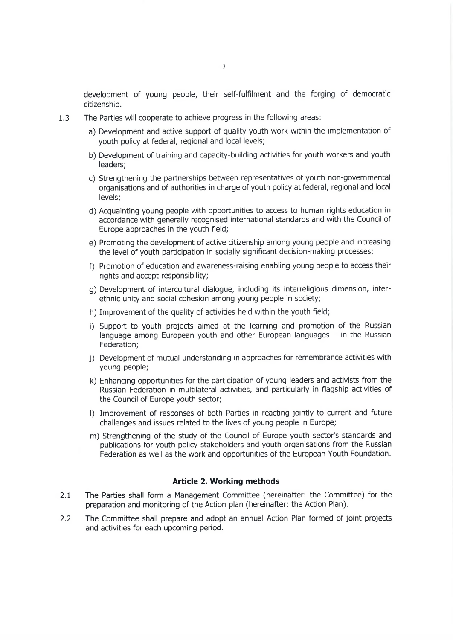development of young people, their self-fulfilment and the forging of democratic citizenship.

- 1.3 The Parties will cooperate to achieve progress in the following areas:
	- a) Development and active Support of quality youth work within the implementation of youth policy at federal, regional and local levels;
	- b) Development of training and capacity-building activities for youth workers and youth leaders;
	- c) Strengthening the partnerships between representatives of youth non-governmental organisations and of authorities in Charge of youth policy at federal, regional and local levels;
	- d) Acquainting young people with opportunities to access to human rights education in accordance with generally recognised international standards and with the Council of Europe approaches in the youth field;
	- e) Promoting the development of active citizenship among young people and increasing the level of youth participation in socially significant decision-making processes;
	- f) Promotion of education and awareness-raising enabling young people to access their rights and accept responsibility;
	- g) Development of intercultural dialogue, including its interreligious dimension, interethnic unity and social cohesion among young people in society;
	- h) Improvement of the quality of activities held within the youth field;
	- i) Support to youth projects aimed at the learning and promotion of the Russian language among European youth and other European languages  $-$  in the Russian Federation;
	- j) Development of mutual understanding in approaches for remembrance activities with young people;
	- k) Enhancing opportunities for the participation of young leaders and activists from the Russian Federation in multilateral activities, and particularly in flagship activities of the Council of Europe youth sector;
	- l) Improvement of responses of both Parties in reacting jointly to current and future challenges and issues related to the lives of young people in Europe;
	- m) Strengthening of the study of the Council of Europe youth sector's standards and publications for youth policy stakeholders and youth organisations from the Russian Federation as well as the work and opportunities of the European Youth Foundation.

#### **Artide 2. Working methods**

- 2.1 The Parties shall form a Management Committee (hereinafter: the Committee) for the preparation and monitoring of the Action plan (hereinafter: the Action Plan).
- 2.2 The Committee shall prepare and adopt an annual Action Plan formed of joint projects and activities for each upcoming period.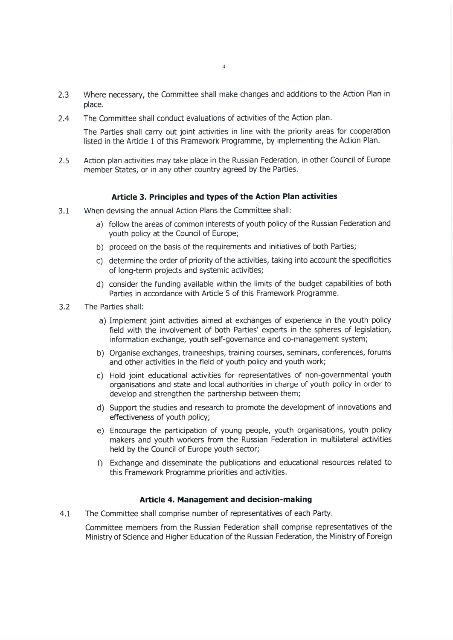- 2.3 Where necessary, the Committee shall make changes and additions to the Action Plan in place.
- 2.4 The Committee shall conduct evaluations of activities of the Action plan.

The Parties shall carry out joint activities in line with the priority areas for cooperation listed in the Article 1 of this Framework Programme, by implementing the Action Plan.

2.5 Action plan activities may take place in the Russian Federation, in other Council of Europe member States, or in any other country agreed by the Parties.

#### **Article 3. Principles and types of the Action Plan activities**

- 3.1 When devising the annual Action Plans the Committee shall:
	- a) follow the areas of common interests of youth policy of the Russian Federation and youth policy at the Council of Europe;
	- b) proceed on the basis of the requirements and initiatives of both Parties;
	- c) determine the order of priority of the activities, taking into account the specificities of long-term projects and systemic activities;
	- d) consider the funding available within the limits of the budget capabilities of both Parties in accordance with Article 5 of this Framework Programme.
- 3.2 The Parties shall:
	- a) Implement joint activities aimed at exchanges of experience in the youth policy field with the involvement of both Parties' experts in the spheres of legislation, information exchange, youth self-governance and co-management system;
	- b) Organise exchanges, traineeships, training courses, seminars, Conferences, forums and other activities in the field of youth policy and youth work;
	- c) Hold joint educational activities for representatives of non-governmental youth organisations and state and local authorities in Charge of youth policy in Order to develop and strengthen the partnership between them;
	- d) Support the studies and research to promote the development of innovations and effectiveness of youth policy;
	- e) Encourage the participation of young people, youth organisations, youth policy makers and youth workers from the Russian Federation in multilateral activities held by the Council of Europe youth sector;
	- f) Exchange and disseminate the publications and educational resources related to this Framework Programme priorities and activities.

#### **Article 4. Management and decision-making**

4.1 The Committee shall comprise number of representatives of each Party.

Committee members from the Russian Federation shall comprise representatives of the Ministry of Science and Higher Education of the Russian Federation, the Ministry of Foreign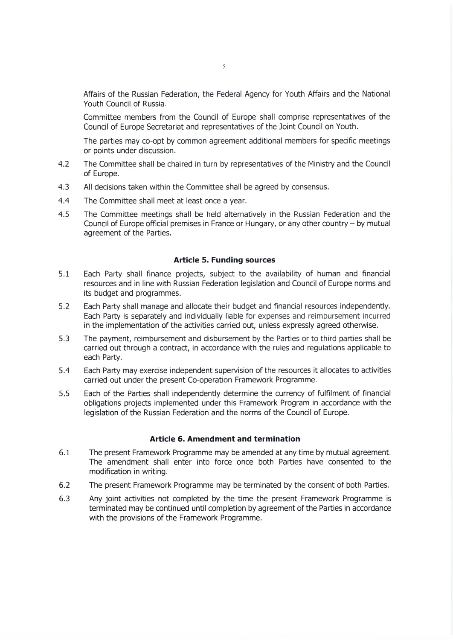Affairs of the Russian Federation, the Federal Agency for Youth Affairs and the National Youth Council of Russia.

Committee members from the Council of Europe shall comprise representatives of the Council of Europe Secretariat and representatives of the Joint Council on Youth.

The parties may co-opt by common agreement additional members for specific meetings or points under discussion.

- 4.2 The Committee shall be chaired in turn by representatives of the Ministry and the Council of Europe.
- 4.3 All decisions taken within the Committee shall be agreed by consensus.
- 4.4 The Committee shall meet at least once a year.
- 4.5 The Committee meetings shall be held alternatively in the Russian Federation and the Council of Europe official premises in France or Hungary, or any other country - by mutual agreement of the Parties.

#### **Article 5. Funding sources**

- 5.1 Each Party shall finance projects, subject to the availability of human and financial resources and in line with Russian Federation legislation and Council of Europe norms and its budget and programmes.
- 5.2 Each Party shall manage and allocate their budget and financial resources independently. Each Party is separately and individually liable for expenses and reimbursement incurred in the implementation of the activities carried out, unless expressly agreed otherwise.
- 5.3 The payment, reimbursement and disbursement by the Parties or to third parties shall be carried out through a contract, in accordance with the rules and regulations applicable to each Party.
- 5.4 Each Party may exercise independent supervision of the resources it allocates to activities carried out under the present Co-operation Framework Programme.
- 5.5 Each of the Parties shall independently determine the currency of fulfilment of financial obligations projects implemented under this Framework Program in accordance with the legislation of the Russian Federation and the norms of the Council of Europe.

#### **Article 6. Amendment and termination**

- 6.1 The present Framework Programme may be amended at any time by mutual agreement. The amendment shall enter into force once both Parties have consented to the modification in writing.
- 6.2 The present Framework Programme may be terminated by the consent of both Parties.
- 6.3 Any joint activities not completed by the time the present Framework Programme is terminated may be continued until completion by agreement of the Parties in accordance with the provisions of the Framework Programme.